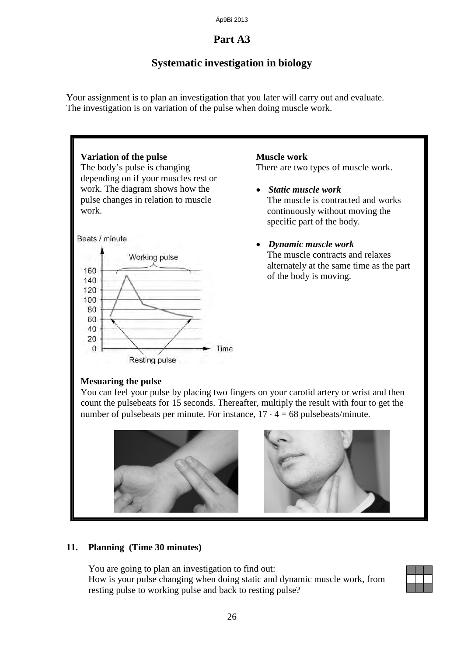Äp9Bi 2013

#### **Part A3**

## **Systematic investigation in biology**

Your assignment is to plan an investigation that you later will carry out and evaluate. The investigation is on variation of the pulse when doing muscle work.



**11. Planning (Time 30 minutes)**

You are going to plan an investigation to find out:

## How is your pulse changing when doing static and dynamic muscle work, from resting pulse to working pulse and back to resting pulse?